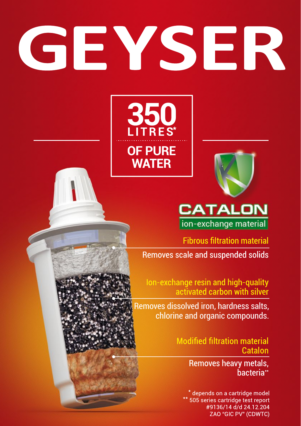# GEYSER





# **CATALON**

ion-exchange material

**Fibrous filtration material** 

Removes scale and suspended solids

Ion-exchange resin and high-quality activated carbon with silver

Removes dissolved iron, hardness salts, chlorine and organic compounds.

> **Modified filtration material** Catalon

> > Removes heavy metals, bacteria<sup>\*</sup>

\* depends on a cartridge model 505 series cartridge test report #9136/14 d/d 24.12.204 **ZAO "GIC PV" (CDWTC)**